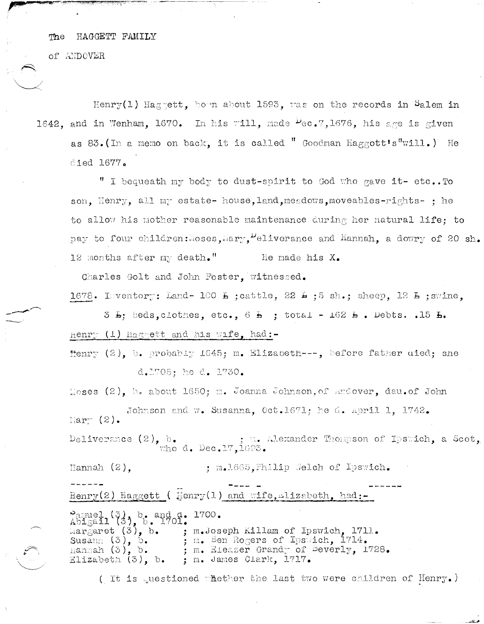#### HAGGETT FAMILY The

**BASKADE DE LA BASKADE DE LA PRODUCTION DE LA PRODUCTION DE LA PRODUCTION DE LA PRODUCTION DE LA PRODUCTION DE** 

of ANDOVER

Henry(1) Hagnett. hown about 1593, was on the records in Salem in 1642, and in Wenham, 1670. In his will, made  $\mu_{\text{e}}$ .7,1676, his age is given as 83. (In a memo on back, it is called " Goodman Haggott's"will.) He died 1677.

" I bequeath my body to dust-spirit to God who gave it- etc..To son, Henry, all my estate- house, land, meadows, moveables-rights- : he to allow his mother reasonable maintenance during her natural life: to pay to four children: soses, Mary, "eliverance and Hannah, a dowry of 20 sh. 12 months after my death." He made his X.

Charles Golt and John Foster, witnessed.

1678. Inventory: Land-100 L ; cattle, 22 L ; 5 sh.; sheep, 12 L ; swine.

 $5$   $\overline{b}$ : beds. clothes. etc.. 6  $\overline{b}$  : total - 162  $\overline{b}$ . Debts. .15  $\overline{b}$ . Henry (1) Haggett and his wife, had:-

Henry (2), b. probably 1645; m. Elizabeth ---, before father uied; she d.1705; he d. 1730.

Moses  $(2)$ , b. about 1650; m. Joanna Johnson, of andover, dau. of John

Johnson and w. Susanna, Oct.1671; he d. April 1, 1742.  $\mathbb{N}$ ar $\mathbb{N}$  (2).

Deliverance  $(2)$ , b. m. Alexander Thompson of Ipswich, a Scot, who d. Dec.17,  $1693.$ 

Hannah $(2)$ , ; m.1665, Philip Welch of Ipswich.

Henry(2) Haggett ( Henry(1) and wife, ilizabeth, had:-

Pamuel (3), b. and d. 1700.<br>Abigail (3), b. 1701.<br>Margaret (3), b. ; m.Joseph Killam of Ipswich, 1711. Susann  $(3)$ , 5.<br>mannah  $(3)$ , b. ; m. Ben Rogers of Ipsuich, 1714. ; m. Eleazer Grandy of Beverly, 1728. Elizabeth  $(3)$ , b. ; m. James Clark, 1717.

( It is questioned whether the last two were children of  $\text{Henry}$ .)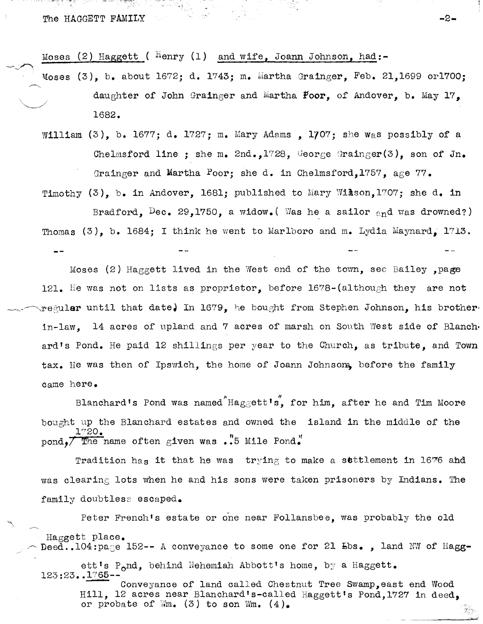The HAGGETT FAMILY And the state of the state of the state of the state of the state of the state of the state of the state of the state of the state of the state of the state of the state of the state of the state of the

Moses (2) Haggett (  $^{H}$ enry (1) and wife, Joann Johnson, had:-

 $\texttt{Moses}$  (3), b. about 1672; d. 1743; m. Martha Grainger, Feb. 21,1699 or1700; daughter of John Grainger and Martha Poor, of Andover, b. May  $17$ , 1682.

 $\mathcal{L}_{\mathbf{z}}$ 

William (3), b. 1677; d. 1727; m. Mary Adams, 1707; she was possibly of a Chelmsford line ; she m. 2nd.,1728, George Grainger(3), son of Jn. Grainger and Martha Poor; she d. in Chelmsford, 1757, age 77.

Timothy (3), b. in Andover, 1681; published to Mary Wikson, 1707; she d. in

Bradford, Dec. 29,1750, a widow. (Was he a sailor  $_{en}$ d was drowned?) Thomas  $(3)$ , b. 1684; I think he went to Marlboro and m. Lydia Maynard. 1713.

Moses (2) Haggett lived in the West end of the town, see Bailey , page 121. He was not on lists as proprietor, before  $1678 - (although$  they are not regular until that date. In 1679, he bought from Stephen Johnson, his brother. in-law, 14 acres of upland and 7 acres of marsh on South west side of Blanch· ard's Pond. He paid 12 shillings per year to the Church, as tribute, and Town tax. He was then of Ipswich, the home of Joann Johnsom, before the family came here.

Blanchard's Pond was named Haggett's, for him, after he and Tim Moore bought up the Blanchard estates and owned the island in the middle of the 1"20. pond, $\overline{7}$  The name often given was .'5 Mile Pond.'

Tradition has it that he was  $\text{trying}$  to make a settlement in 1676 ahd was clearing lots when he and his sons were taken prisoners by Indians. The family doubtless escaped.

Peter French's estate or one near Follansbee, was probably the old Haggett place. Deed..104:page 152-- A conveyance to some one for 21  $Ebs.$  , land NW of Hagg-

ett's P<sub>o</sub>nd, behind Nehemiah Abbott's home, by a Haggett. 123:23..1765-

Conveyance of land called Chestnut Tree Swamp, east end Wood Hill, 12 acres near Blanchard's-called Haggett's Pond,1727 in deed, or probate of  $W_m$ . (3) to son  $W_m$ . (4).

~-- ,.: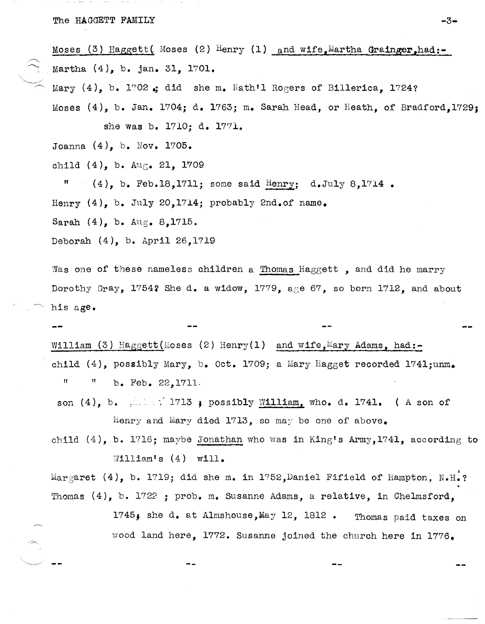Moses (3) Haggett( Moses (2) Henry (1) and wife Martha Grainger, had:-Martha (4), b. jan. 31, 1701.

Mary  $(4)$ , b. 1702.; did she m. Nath'l Rogers of Billerica, 1724?

Moses (4), b. Jan. 1704; d. 1763; m. Sarah Head, or Heath, of Bradford,1729; she was b. 1710; d. 1771.

Joanna (4), b. Nov. 1705.

child  $(4)$ , b. Aug. 21, 1709

 $"$  (4), b. Feb.18,1711; some said Henry; d.July 8,1714.

Henry  $(4)$ , b. July 20,1714; probably 2nd.of name.

Sarah (4), b. Aug. 8,1715.

Deborah (4), b. April 26,1719

Was one of these nameless children a Thomas Haggett, and did he marry Dorothy Gray, 17542 She d. a widow, 1779, age 67, so born 1712, and about his age.

William (3) Haggett(Moses (2) Henry(1) and wife, Mary Adams, had:child (4), possibly Mary, b. Oct. 1709; a Mary Hagget recorded 1741;unm.  $^{\text{II}}$   $^{\text{II}}$  b. Feb. 22,1711.

son  $(4)$ , b.  $\therefore$  1713; possibly William, who. d. 1741. (A son of Henry and Mary died 1713, so may be one of above.

child (4), b. 1716; maybe Jonathan who was in King's Army,1741, according to William's  $(4)$  will.

Margaret  $(4)$ , b. 1719; did she m. in 1752, Daniel Fifield of Hampton, N.H.? Thomas  $(4)$ , b. 1722 ; prob. m. Susanne Adams, a relative, in Chelmsford,

> 1745; she d. at Almshouse, May 12, 1812. Thomas paid taxes on wood land here, 1772. Susanne joined the church here in 1776.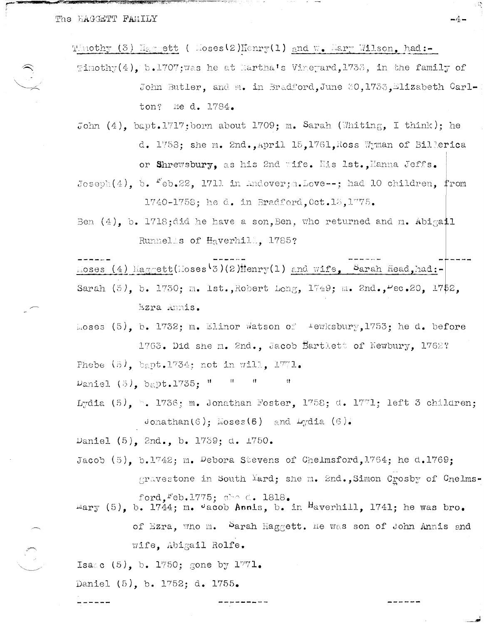and the company of the company of the company of the company of the company of the company of the company of the company of the company of the company of the company of the company of the company of the company of the comp

Thuothy (3) Haggett ( Moses(2)Henry(1) and W. Mary Wilson, had:-

- Timothy(4). b.1707: was he at Hartha's Vineyard.1733, in the family of John Butler, and m. in Bradford, June 30, 1733, Elizabeth Carl-He d. 1784. ton?
- John  $(4)$ , bapt.1717; born about 1709; m. Sarah (Whiting, I think); he d. 1758; she m. 2nd., April 15, 1761, Ross Wyman of Billerica or Shrewsbury, as his 2nd wife. His 1st., Hanna Jeffs.
- $\text{Joseph}(4)$ , b.  $\text{Feb.22}$ , 1711 in Andover; .Love--; had 10 children, from 1740-1758; he d. in Bradford. Oct. 13. 1775.
- Ben  $(4)$ , b. 1718; did he have a son, Ben, who returned and m. Abigail Runnelss of Haverhill. 1785?

 $\log$ es (4)  $\log$ cett(Moses<sup>(3)</sup>(2) Henry(1) and wife, Sarah Head, had:-

Sarah (5), b. 1730; m. 1st., Robert Long, 1749; m. 2nd.,  $Vec.20$ , 1752. Ezra Annis.

Moses (5), b. 1732; m. Elinor Watson of Fewksbury, 1753; he d. before 1763. Did she m. 2nd., Jacob Bartlett of Newbury, 1762?

Phebe  $(5)$ , bapt.1734; not in will, 1771.

Daniel  $(5)$ , bapt.1735:  $^{\text{H}}$  $\ddot{\mathbf{H}}$ 

- Lydia (5),  $\vdash$ . 1736; m. Jonathan Foster, 1758; d. 1771; left 3 children; Jonathan(6); Moses(6) and  $Lydia$  (6).
- Daniel (5), 2nd., b. 1739; d. 1750.
- Jacob (5). b.1742: m. Debora Stevens of Chelmsford, 1764; he d.1769; gravestone in South <sup>Y</sup>ard; she m. 2nd., Simon Crosby of Chelmsford. Feb. 1775: abo d. 1818.
- mary (5), b. 1744; m. vacob Annis, b. in Haverhill, 1741; he was bro. of Ezra, who m. Sarah Haggett. He was son of John Annis and wife. Abigail Rolfe.

Isaac (5), b. 1750; gone by  $1771.$ 

Daniel (5), b. 1752; d. 1755.

 $-4-$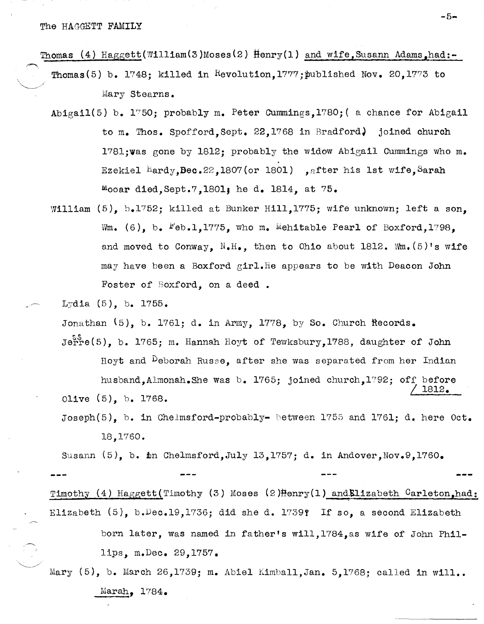Thomas (4) Haggett(William(3)Moses(2)  $\text{Henry}(1)$  and wife, Susann Adams, had:-

- Thomas(5) b. 1748; killed in Revolution, 1777; published Nov. 20, 1773 to Mary stearns.
- Abigail(5) b.  $1750$ ; probably m. Peter Cummings,1780; (a chance for Abigail to m. Thos. Spofford, Sept. 22,176S in Bradford) joined church l7Sl;was gone by lS12; probably the widow Abigail Cummings who m. Ezekiel  $\frac{\text{Hardy},\text{Dec.22,1807(or 1801)}$ , after his 1st wife, Sarah  $^{10}$ ooar died, Sept.7,1801; he d. 1814, at 75.
- William (5), b.1752; killed at Bunker Hill,1775; wife unknown; left a son, Wm. (6), b.  $Feb.1.1775$ , who m. Mehitable Pearl of Boxford,1798. and moved to Conway,  $N_{\bullet}H_{\bullet}$ , then to Ohio about 1812. Wm. (5)'s wife may have been a Boxford girl. He appears to be with Deacon John Foster of Boxford, on a deed.
	- $Lyd1a (5)$ , b. 1755.

Jonathan  $(5)$ , b. 1761; d. in Army, 1778, by So. Church Records.

 $Je^{S_1^S}$ e(5), b. 1765; m. Hannah Hoyt of Tewksbury, 1788, daughter of John Hoyt and Deborah Russe, after she was separated from her Indian husband.Almonah.She was b. 1765; joined church.1792; off before I lS12. Olive (5), b. 1768.

Joseph(5), b. in Chelmsford-probably- between 1755 and 1761; d. here  $0ct.$ 18,1760.

Susann  $(5)$ , b. in Chelmsford, July 13,1757; d. in Andover, Nov. 9,1760.

Timothy (4) Haggett(Timothy (3) Moses (2) Henry(1) and Elizabeth Carleton, had: Elizabeth (5), b.Dec.19,1736; did she d. l739f If so, a second Elizabeth

born later, was named in father's will, 1784, as wife of John Phillips, m.Dec. 29,1757.

Mary (5), b. March 26,1739; m. Abiel Kimball,Jan. 5,1768; called in will.. Marah, 1784.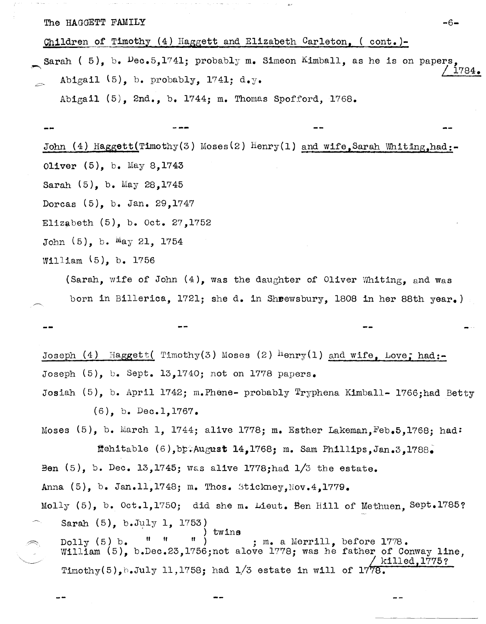The HAGGETT FAMILY  $-6-$ 

Children of Timothy  $(4)$  Haggett and Elizabeth Carleton, ( cont.)-

 $\overline{\phantom{a}}$ Sarah ( 5), b.  $Dec.5,1741$ ; probably m. Simeon Kimball, as he is on papers Abigail  $(5)$ , b. probably, 1741; d.y. I *1784.* 

Abigail (5), 2nd., b. 1744; m. Thomas Spofford, 1768.

John (4) Haggett (Timothy(3) Moses (2) Henry (1) and wife, Sarah Whiting,had:-Oliver (5), b. May 8,1743 Sarah (5), b. May 28,1745 Dorcas (5), b. Jan. 29,1747 Elizabeth (5), b. Oct. 27,1752 John (5), b. May 21, 1754 William (5), b. 1756

(Sarah, wife of John (4), was the daughter of Oliver Whiting, and was born in Billerica, 1721; she d. in Sheewsbury, 1808 in her 88th year.)

Joseph (4) Haggett (Timothy(3) Moses (2)  $\text{Henry}(1)$  and wife, Love; had:-Joseph (5), b. Sept. 13,1740; not on 1778 papers.

Josiah (5), b. April 1742; m.Phene- probably Tryphena Kimba11- 1766;had Betty (6), b. Dec.l,1767.

Moses  $(5)$ , b. March 1, 1744; alive 1778; m. Esther Lakeman, Feb. 5, 1768; had: r,tehitab1e (6),bt~:AUgtlst 14,1768; m. Sam Phillips,Jan.3,1788~ Ben  $(5)$ , b. Dec. 13,1745; was alive 1778; had  $1/3$  the estate. Anna  $(5)$ , b. Jan.11,1748; m. Thos. Stickney, Nov.4,1779. Molly (5), b. Oct.l,1750; did she m. Lieut. Een Hill of Methuen, Sept.1785?

Sarah  $(5)$ , b.July 1, 1753)<br>Della (5) h = " " | ) twins  $\begin{array}{c} \texttt{Dolly} (5) b. \end{array}$  " ") iwins<br>  $\begin{array}{c} \texttt{Dolly} (5) b. \end{array}$  " ", ", a Merrill, William (5), b.Dec.23,1756;not alove 1778; was he father of Conway line, Timothy(5), b.July 11,1758; had  $1/3$  estate in will of  $1778$ . ; m. a Merrill, before 1778.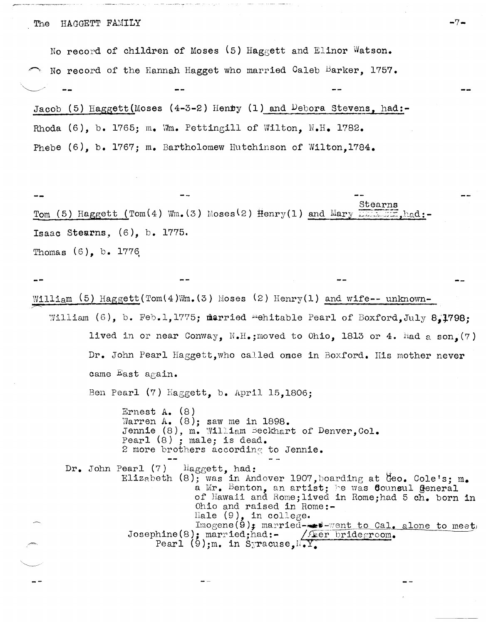No record of children of Moses  $(5)$  Haggett and Elinor Watson. No record of the Hannah Hagget who married Caleb Barker. 1757.  $\diagdown\,$ Jacob (5) Haggett (Moses (4-3-2) Hen**t**y (1) and Debora Stevens, had:-Rhoda  $(6)$ , b. 1765; m. Wm. Pettingill of Wilton,  $N.H.$  1782. Phebe (6), b. 1767; m. Bartholomew Hutchinson of Wilton, 1784.

stearns Tom (5) Haggett (Tom (4) Wm. (3) Moses (2)  $\text{Henry}(1)$  and  $\text{Mary}$  ...  $\text{Im}z$ ,  $\text{h}_\text{ad}$ : Isaac Stearns, (6), b. 1775. Thomas  $(6)$ , b. 1776

William (5) Haggett (Tom(4)Wm. (3) Moses (2) Henry(1) and wife-- unknown-

William (6), b. Feb.l.1775; married "ehitable Pearl of Boxford.July 8.1798; lived in or near Conway,  $N_{\bullet}H_{\bullet}$ ; moved to Ohio, 1813 or 4. Had a son, (7) Dr. John Pearl Haggett, who called once in Boxford. His mother never came East again.

Ben Pearl (7) Haggett, b. April 15,1806;

Ernest A. (8) Warren A.  $(8)$ ; saw me in 1898. Jennie (8), m. William Beckhart of Denver, Col. Pearl  $(8)$ ; male; is dead. 2 more brothers according to Jennie.

Dr. John Pearl (7) Haggett, had: Elizabeth (8); was in Andover 1907, boarding at Geo. Cole's;  $m_{\bullet}$ a Mr. Benton, an artist; he was **Counsul General** of Hawaii and Rome;lived in Rome;had 5 ch. born in Ohio and raised in Home:- Hale  $(9)$ , in college.  $\text{Image}(\mathbf{9})$ ; married- $\bullet\ast\text{-}$  went to Cal. alone to meet, Josephine(8); married;had:- / feer bridegroom. Pearl (9);m. in Syracuse,  $\sqrt{Y}$ .

 $-7 -$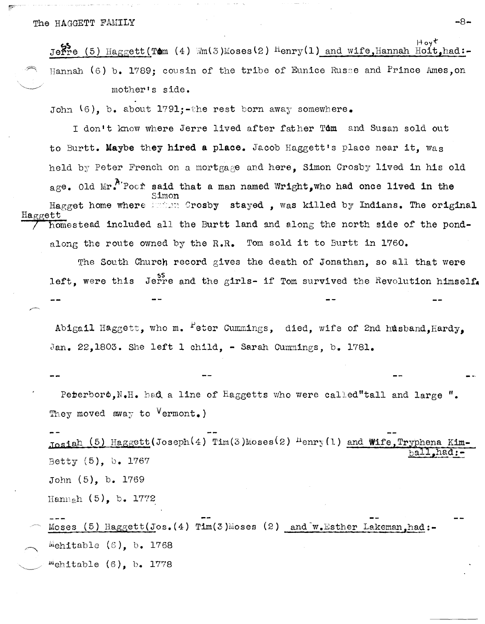#### The HAGGETT FAMILY

Hoyt Jerre (5) Haggett (Tom (4) Wm(3)Moses(2) Henry(1) and wife, Hannah Hoit, had:-Hannah  $(6)$  b. 1789; cousin of the tribe of Eunice Russe and Prince Ames, on mother's side.

John  $(6)$ , b. about 1791;-the rest born away somewhere.

I don't know where Jerre lived after father Tom and Susan sold out to Burtt. Maybe they hired a place. Jacob Haggett's place near it, was held by Peter French on a mortgage and here, Simon Crosby lived in his old age. Old  $Mr^{A'}$ Poof said that a man named Wright, who had once lived in the Hagget home where inform Crosby stayed, was killed by Indians. The original ia crett homestead included all the Burtt land and along the north side of the pondalong the route owned by the R.R. Tom sold it to Burtt in 1760.

The South Church record gives the death of Jonathan, so all that were left, were this Jerre and the girls- if Tom survived the Revolution himself.

Abigail Haggett, who m. Peter Cummings, died, wife of 2nd husband, Hardy, Jan. 22,1803. She left 1 child, - Sarah Cummings, b. 1781.

Peterboro, N.H. had a line of Haggetts who were called"tall and large ". They moved away to  $Vermont_{\bullet}$ )

 $T$ osiah (5) Haggett(Joseph(4) Tim(3)Moses(2)  $H$ enry(1) and Wife, Tryphena Kim-Betty (5), b. 1767 John (5), b. 1769 Hannah  $(5)$ , b. 1772

Moses (5) Haggett(Jos.  $(4)$  Tim(3)Moses (2) and w. Esther Lakeman, had:-Mehitable  $(6)$ , b. 1768 "ehitable  $(6)$ , b. 1778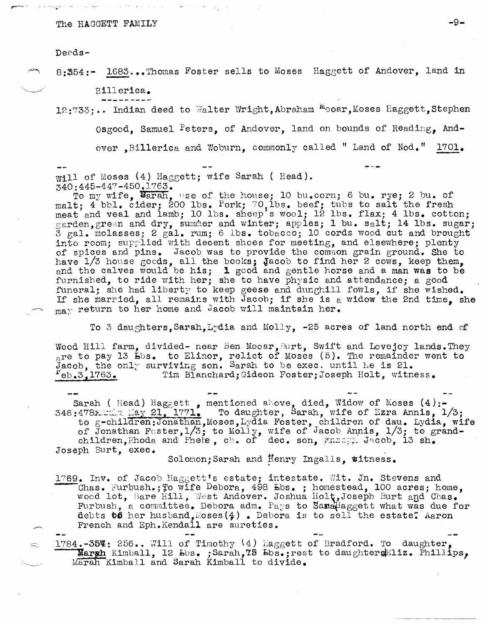### The HAGGETT FAMILY  $-9-$

Deeds-

8:354:- 1683...Thomas Foster sells to Moses Haggett of Andover, land in

Billerica.

12:733;.. Indian deed to Walter Wright,Abraham Mooar,Moses Haggett,Stephen

Osgood, Samuel Peters, of Andover, land on bounds of Reading, And-

over ,Billerica and Woburn, commonly called " Land of Nod." 1701.

Will of Moses (4) Haggett; wife Sarah ( Head). 340:445-447 -450.1763.

To my wife, Barah, use of the house; 10 bu. corn; 6 bu. rye; 2 bu. of malt; 4 bbl. cider; 200 lbs. Pork; 70, lbs. beef; tubs to salt the fresh meat and veal and lamb; 10 lbs. sheep's wool; 12 lbs. flax; 4 lbs. cotton; garden, green and dry, summer and winter; apples; 1 bu. salt; 14 lbs. sugar;  $3 \text{ gal. molasses; } 2 \text{ gal. run; } 6 \text{ lbs.}$  tobacco; 10 cords wood cut and brought into room; supplied with decent shoes for meeting, and elsewhere; plenty of spices and pins. Jacob was to provide the common grain ground. She to have 1/3 house goods, all the books; Jacob to find her 2 cows, keep them, and the calves would be his; 1 good and gentle horse and a man was to be furnished, to ride with her; she to have physic and attendance; a good funeral; she had liberty to keep geese and dunghill fowls, if she wished. If she married, all remains with Jacob; if she is a widow the 2nd time, she  $_{\text{max}}$  return to her home and Jacob will maintain her.

To 3 daughters, Sarah, Lydia and Molly,  $-25$  acres of land north end of

Wood Hill farm, divided- near Ben Mooar, Burt, Swift and Lovejoy lands. They  $\frac{1}{\epsilon}$ re to pay 13  $\frac{13}{\epsilon}$  is. to Elinor, relict of Moses (5). The remainder went to He so pay is have to harmon, same to be exec. until he is 21. eb.3,1763. Tim Blanchard;Gideon Foster;Joseph Holt, witness.

Sarah ( Head)  $\texttt{Haggett}$  , mentioned above, died, Widow of Moses (4):-346:478 $\frac{177}{2}$  May 21, 1771. To daughter, Sarah, wife of Ezra Annis, 1/3; to g-children:Jonathan, Moses, Lydia Foster, children of dau. Lydia, wife of Jonathan Fester,  $1/3$ ; to Molly, wife of Jacob Annis,  $1/3$ ; to grandchildren, Rhoda and Phete, ch. of dec. son, Massey Jacob, 13 sh. Joseph Burt, exec.

Solomon; Sarah and  $H_{\text{enry}}$  Ingalls, witness.

1769. Inv. of Jacob Haggett's estate; intestate. Wit. Jn. Stevens and 1769. Inv. of Jacob Haggett's estate; intestate. Wit. Jn. Stevens and<br>Chas. Furbush.; To wife Debora, 498 Ebs. ; homestead, 100 acres; home, wood lot, Bare Hill, West Andover. Joshua Holt, Joseph Burt and Chas. Furbush, a committee. Debora adm. Pays to Samalaggett what was due for debts **t6** her husband, Moses  $(4)$  . Debora is to sell the estate: Aaron French and Eph.Kendall are sureties.

1784.-35%: 256.. Will of Timothy (4) Haggett of Bradford. To daughter, Margh Kimball, 12  $F$ bs. ;Sarah,75  $F$ bs.;rest to daughter $F$ liz. Phillips, Marah Kimball and Sarah Kimball to divide.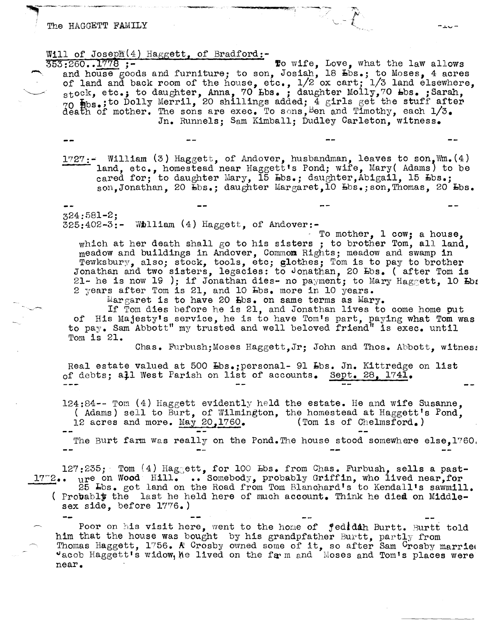#### The HAGGETT FAMILY

,,\_.-\_~ \_\_ ~ c -\_\_ ~-~

# Will of Joseph(4) Haggett, of Bradford:<br> $\frac{353:260...1778}{553:260...1778}$  ;-

353:260..1778 ;-<br>and house goods and furniture; to son, Josiah, 18 bbs.; to Moses, 4 acres of land and back room of the house, etc., 1/2 ox cart; 1/3 land elsewhere, stock, etc.; to daughter, Anna, 70 bbs.; daughter Molly,70 bbs.; Sarah,  $70$   $\text{Hbs.}$ ; to Dolly Merril, 20 shillings added; 4 girls get the stuff after death of mother. The sons are exec. To sons,  $\beta$ en and Timothy, each  $1/3$ . Jn. Runnels: Sam Kimball; Dudley Carleton, witness.

 $1727:$  William (3) Haggett, of Andover, husbandman, leaves to son, Wm. (4) land, etc., homestead near Haggett's Pond; wife, Mary( Adams) to be cared for; to daughter Mary, 15 Lbs.; daughter, Abigail, 15 Lbs.; son,Jonathan, 20  $\overline{b}$ bs.; daughter Margaret,10  $\overline{b}$ bs.;son,Thomas, 20  $\overline{b}$ bs.

324:581-2;  $325:402-3:-$  William (4) Haggett, of Andover:-<br>To mother, 1 cow; a house,

which at her death shall go to his sisters; to brother Tom, all land.  $meadow$  and buildings in Andover, Common Rights; meadow and swamp in Tewksbury, also; stock, tools, etc; glothes; Tom is to pay to brother Jonathan and two sisters, legacies: to Jonathan, 20 Ebs. (after Tom is 21- he is now 19 ); if Jonathan dies- no payment; to Mary Haggett, 10  $E_{0}$ 2 years after Tom is  $21$ , and 10  $H$ bs. more in 10 years.

 $Margaret$  is to have 20  $Ebs$ . on same terms as  $Mary$ .

If Tom dies before he is 21, and Jonathan lives to come home put of His Majesty's service, he is to have Tom's part, paying what Tom was to pay. Sam Abbott" my trusted and well beloved friend" is exec. until Tom is 21.

Chas. Furbush;Moses Haggett,Jr; John and Thos. Abbott, witnes:

Real estate valued at 500 Lbs.; personal- 91 Lbs. Jn. Kittredge on list of debts; all West Parish on list of accounts. Sept. 28, 1741.

 $124:84--$  Tom (4) Haggett evidently held the estate. He and wife Susanne. ( Adams) sell to Burt, of Wilmington, the homestead at Haggett's Pond,  $12$  acres and more. May 20.1760. (Tom is of Chelmsford.) 12 acres and more. May  $20,1760$ . The Burt farm was really on the Pond. The house stood somewhere else.1760.

 $127:235$ ; Tom  $(4)$  Hagsett, for 100  $\texttt{Lbs.}$  from Chas. Furbush, sells a pastl7~2 •• ure on Wood Hill. **••** Somebody, probably Griffin, who lived near,far 25 Lbs. got land on the Road from Tom Blanchard's to Kendall's sawmill. ( Probably the last he held here of much account. Think he died on Middlesex side, before 1776.)

Poor on his visit here, went to the home of jedidih Burtt. Burtt told him that the house was bought by his grandpfather Burtt, partly from Thomas Haggett,  $1756$ . A Crosby owned some of it, so after Sam Crosby married "acob Haggett's widow, he lived on the farm and Moses and Tom's places were near.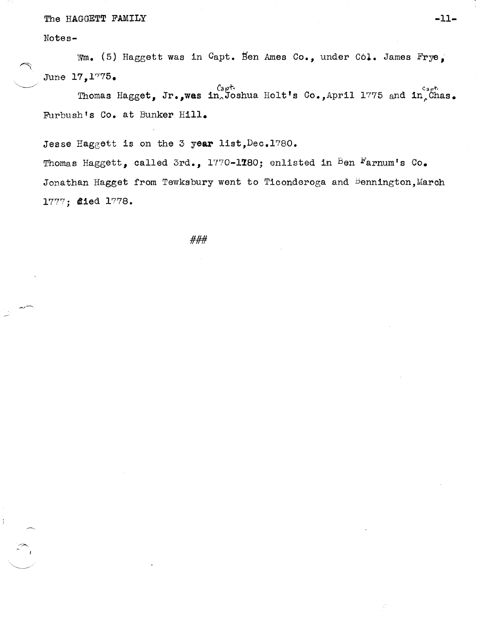## The HAGGETT FAMILY -11-

Notes-

Wm. (5) Haggett was in Capt. Ben Ames Co., under Col. James Frye, June *17,1"/75.* 

 ${}_{Gpt}^{\text{C}_{apt}}$ . Thomas Hagget, Jr.,was in Joshua Holt's Co.,April 1775 and in Chas. Furbush's Co. at Bunker Hill.

Jesse Haggett is on the 3 year list, Dec. 1780.

Thomas Haggett, called 3rd., 1770-1780; enlisted in Ben Farnum's Co. Jonathan Hagget from Tewksbury went to Ticonderoga and Bennington, March 1777; 4ied 1778.

###